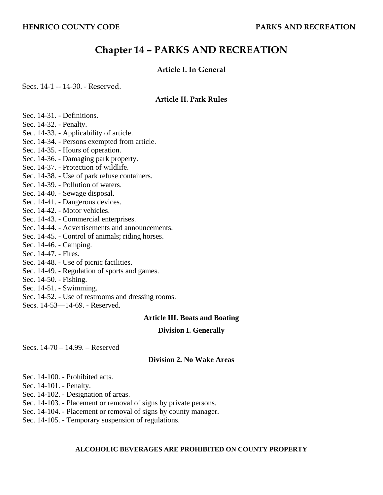# **Chapter 14 – PARKS AND RECREATION**

## **Article I. In General**

Secs. 14-1 -- 14-30. - Reserved.

## **Article II. Park Rules**

- Sec. 14-31. Definitions.
- Sec. 14-32. Penalty.
- Sec. 14-33. Applicability of article.
- Sec. 14-34. Persons exempted from article.
- Sec. 14-35. Hours of operation.
- Sec. 14-36. Damaging park property.
- Sec. 14-37. Protection of wildlife.
- Sec. 14-38. Use of park refuse containers.
- Sec. 14-39. Pollution of waters.
- Sec. 14-40. Sewage disposal.
- Sec. 14-41. Dangerous devices.
- Sec. 14-42. Motor vehicles.
- Sec. 14-43. Commercial enterprises.
- Sec. 14-44. Advertisements and announcements.
- Sec. 14-45. Control of animals; riding horses.
- Sec. 14-46. Camping.
- Sec. 14-47. Fires.
- Sec. 14-48. Use of picnic facilities.
- Sec. 14-49. Regulation of sports and games.
- Sec. 14-50. Fishing.
- Sec. 14-51. Swimming.
- Sec. 14-52. Use of restrooms and dressing rooms.
- Secs. 14-53—14-69. Reserved.

## **Article III. Boats and Boating**

## **Division I. Generally**

Secs. 14-70 – 14.99. – Reserved

## **Division 2. No Wake Areas**

- Sec. 14-100. Prohibited acts.
- Sec. 14-101. Penalty.
- Sec. 14-102. Designation of areas.
- Sec. 14-103. Placement or removal of signs by private persons.
- Sec. 14-104. Placement or removal of signs by county manager.
- Sec. 14-105. Temporary suspension of regulations.

# **ALCOHOLIC BEVERAGES ARE PROHIBITED ON COUNTY PROPERTY**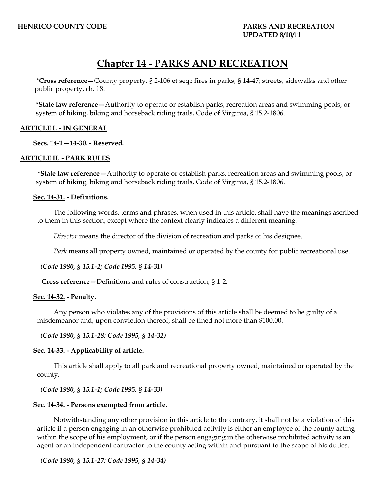# **Chapter 14 - PARKS AND RECREATION**

\***Cross reference—**County property, § 2-106 et seq.; fires in parks, § 14-47; streets, sidewalks and other public property, ch. 18.

\***State law reference—**Authority to operate or establish parks, recreation areas and swimming pools, or system of hiking, biking and horseback riding trails, Code of Virginia, § 15.2-1806.

## **ARTICLE I. - IN GENERAL**

 **Secs. 14-1—14-30. - Reserved.** 

## **ARTICLE II. - PARK RULES**

\***State law reference—**Authority to operate or establish parks, recreation areas and swimming pools, or system of hiking, biking and horseback riding trails, Code of Virginia, § 15.2-1806.

#### **Sec. 14-31. - Definitions.**

The following words, terms and phrases, when used in this article, shall have the meanings ascribed to them in this section, except where the context clearly indicates a different meaning:

*Director* means the director of the division of recreation and parks or his designee.

*Park* means all property owned, maintained or operated by the county for public recreational use.

*(Code 1980, § 15.1-2; Code 1995, § 14-31)* 

**Cross reference—**Definitions and rules of construction, § 1-2.

#### **Sec. 14-32. - Penalty.**

Any person who violates any of the provisions of this article shall be deemed to be guilty of a misdemeanor and, upon conviction thereof, shall be fined not more than \$100.00.

*(Code 1980, § 15.1-28; Code 1995, § 14-32)* 

#### **Sec. 14-33. - Applicability of article.**

This article shall apply to all park and recreational property owned, maintained or operated by the county.

*(Code 1980, § 15.1-1; Code 1995, § 14-33)* 

#### **Sec. 14-34. - Persons exempted from article.**

Notwithstanding any other provision in this article to the contrary, it shall not be a violation of this article if a person engaging in an otherwise prohibited activity is either an employee of the county acting within the scope of his employment, or if the person engaging in the otherwise prohibited activity is an agent or an independent contractor to the county acting within and pursuant to the scope of his duties.

*(Code 1980, § 15.1-27; Code 1995, § 14-34)*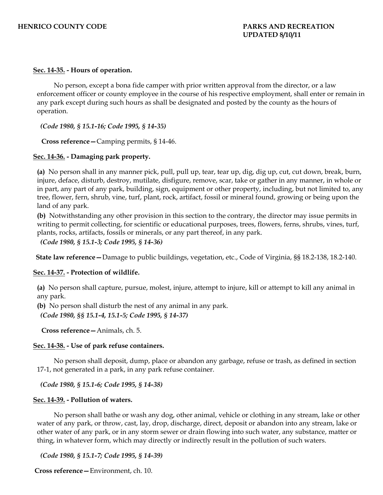## **Sec. 14-35. - Hours of operation.**

No person, except a bona fide camper with prior written approval from the director, or a law enforcement officer or county employee in the course of his respective employment, shall enter or remain in any park except during such hours as shall be designated and posted by the county as the hours of operation.

*(Code 1980, § 15.1-16; Code 1995, § 14-35)* 

**Cross reference—**Camping permits, § 14-46.

#### **Sec. 14-36. - Damaging park property.**

**(a)** No person shall in any manner pick, pull, pull up, tear, tear up, dig, dig up, cut, cut down, break, burn, injure, deface, disturb, destroy, mutilate, disfigure, remove, scar, take or gather in any manner, in whole or in part, any part of any park, building, sign, equipment or other property, including, but not limited to, any tree, flower, fern, shrub, vine, turf, plant, rock, artifact, fossil or mineral found, growing or being upon the land of any park.

**(b)** Notwithstanding any other provision in this section to the contrary, the director may issue permits in writing to permit collecting, for scientific or educational purposes, trees, flowers, ferns, shrubs, vines, turf, plants, rocks, artifacts, fossils or minerals, or any part thereof, in any park.

*(Code 1980, § 15.1-3; Code 1995, § 14-36)* 

**State law reference—**Damage to public buildings, vegetation, etc., Code of Virginia, §§ 18.2-138, 18.2-140.

#### **Sec. 14-37. - Protection of wildlife.**

**(a)** No person shall capture, pursue, molest, injure, attempt to injure, kill or attempt to kill any animal in any park.

**(b)** No person shall disturb the nest of any animal in any park.

*(Code 1980, §§ 15.1-4, 15.1-5; Code 1995, § 14-37)* 

**Cross reference—**Animals, ch. 5.

#### **Sec. 14-38. - Use of park refuse containers.**

No person shall deposit, dump, place or abandon any garbage, refuse or trash, as defined in section 17-1, not generated in a park, in any park refuse container.

*(Code 1980, § 15.1-6; Code 1995, § 14-38)* 

#### **Sec. 14-39. - Pollution of waters.**

No person shall bathe or wash any dog, other animal, vehicle or clothing in any stream, lake or other water of any park, or throw, cast, lay, drop, discharge, direct, deposit or abandon into any stream, lake or other water of any park, or in any storm sewer or drain flowing into such water, any substance, matter or thing, in whatever form, which may directly or indirectly result in the pollution of such waters.

*(Code 1980, § 15.1-7; Code 1995, § 14-39)* 

**Cross reference—**Environment, ch. 10.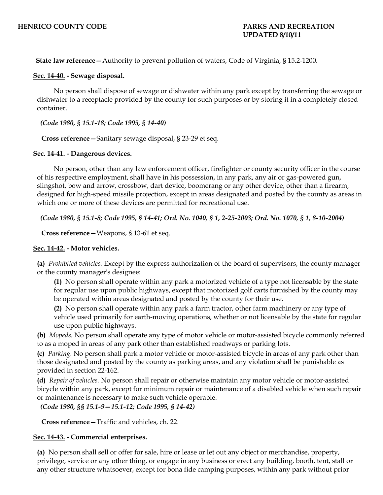**State law reference—**Authority to prevent pollution of waters, Code of Virginia, § 15.2-1200.

#### **Sec. 14-40. - Sewage disposal.**

No person shall dispose of sewage or dishwater within any park except by transferring the sewage or dishwater to a receptacle provided by the county for such purposes or by storing it in a completely closed container.

*(Code 1980, § 15.1-18; Code 1995, § 14-40)* 

**Cross reference—**Sanitary sewage disposal, § 23-29 et seq.

#### **Sec. 14-41. - Dangerous devices.**

No person, other than any law enforcement officer, firefighter or county security officer in the course of his respective employment, shall have in his possession, in any park, any air or gas-powered gun, slingshot, bow and arrow, crossbow, dart device, boomerang or any other device, other than a firearm, designed for high-speed missile projection, except in areas designated and posted by the county as areas in which one or more of these devices are permitted for recreational use.

*(Code 1980, § 15.1-8; Code 1995, § 14-41; Ord. No. 1040, § 1, 2-25-2003; Ord. No. 1070, § 1, 8-10-2004)* 

**Cross reference—**Weapons, § 13-61 et seq.

#### **Sec. 14-42. - Motor vehicles.**

**(a)** *Prohibited vehicles.* Except by the express authorization of the board of supervisors, the county manager or the county manager's designee:

**(1)** No person shall operate within any park a motorized vehicle of a type not licensable by the state for regular use upon public highways, except that motorized golf carts furnished by the county may be operated within areas designated and posted by the county for their use.

**(2)** No person shall operate within any park a farm tractor, other farm machinery or any type of vehicle used primarily for earth-moving operations, whether or not licensable by the state for regular use upon public highways.

**(b)** *Mopeds.* No person shall operate any type of motor vehicle or motor-assisted bicycle commonly referred to as a moped in areas of any park other than established roadways or parking lots.

**(c)** *Parking.* No person shall park a motor vehicle or motor-assisted bicycle in areas of any park other than those designated and posted by the county as parking areas, and any violation shall be punishable as provided in section 22-162.

**(d)** *Repair of vehicles.* No person shall repair or otherwise maintain any motor vehicle or motor-assisted bicycle within any park, except for minimum repair or maintenance of a disabled vehicle when such repair or maintenance is necessary to make such vehicle operable.

*(Code 1980, §§ 15.1-9—15.1-12; Code 1995, § 14-42)* 

**Cross reference—**Traffic and vehicles, ch. 22.

## **Sec. 14-43. - Commercial enterprises.**

**(a)** No person shall sell or offer for sale, hire or lease or let out any object or merchandise, property, privilege, service or any other thing, or engage in any business or erect any building, booth, tent, stall or any other structure whatsoever, except for bona fide camping purposes, within any park without prior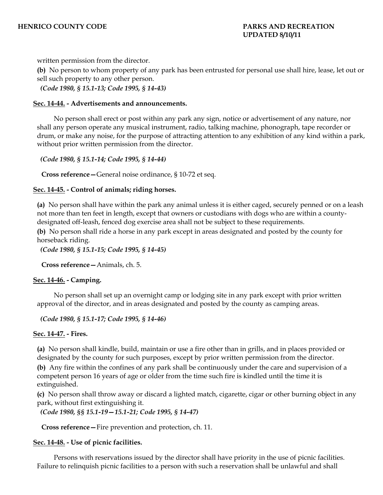written permission from the director.

**(b)** No person to whom property of any park has been entrusted for personal use shall hire, lease, let out or sell such property to any other person.

*(Code 1980, § 15.1-13; Code 1995, § 14-43)* 

#### **Sec. 14-44. - Advertisements and announcements.**

No person shall erect or post within any park any sign, notice or advertisement of any nature, nor shall any person operate any musical instrument, radio, talking machine, phonograph, tape recorder or drum, or make any noise, for the purpose of attracting attention to any exhibition of any kind within a park, without prior written permission from the director.

*(Code 1980, § 15.1-14; Code 1995, § 14-44)* 

**Cross reference—**General noise ordinance, § 10-72 et seq.

#### **Sec. 14-45. - Control of animals; riding horses.**

**(a)** No person shall have within the park any animal unless it is either caged, securely penned or on a leash not more than ten feet in length, except that owners or custodians with dogs who are within a countydesignated off-leash, fenced dog exercise area shall not be subject to these requirements.

**(b)** No person shall ride a horse in any park except in areas designated and posted by the county for horseback riding.

*(Code 1980, § 15.1-15; Code 1995, § 14-45)* 

**Cross reference—**Animals, ch. 5.

## **Sec. 14-46. - Camping.**

No person shall set up an overnight camp or lodging site in any park except with prior written approval of the director, and in areas designated and posted by the county as camping areas.

*(Code 1980, § 15.1-17; Code 1995, § 14-46)* 

## **Sec. 14-47. - Fires.**

**(a)** No person shall kindle, build, maintain or use a fire other than in grills, and in places provided or designated by the county for such purposes, except by prior written permission from the director.

**(b)** Any fire within the confines of any park shall be continuously under the care and supervision of a competent person 16 years of age or older from the time such fire is kindled until the time it is extinguished.

**(c)** No person shall throw away or discard a lighted match, cigarette, cigar or other burning object in any park, without first extinguishing it.

*(Code 1980, §§ 15.1-19—15.1-21; Code 1995, § 14-47)* 

**Cross reference—**Fire prevention and protection, ch. 11.

## **Sec. 14-48. - Use of picnic facilities.**

Persons with reservations issued by the director shall have priority in the use of picnic facilities. Failure to relinquish picnic facilities to a person with such a reservation shall be unlawful and shall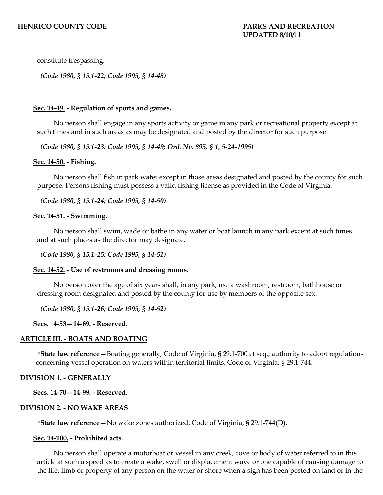constitute trespassing.

*(Code 1980, § 15.1-22; Code 1995, § 14-48)* 

#### **Sec. 14-49. - Regulation of sports and games.**

No person shall engage in any sports activity or game in any park or recreational property except at such times and in such areas as may be designated and posted by the director for such purpose.

*(Code 1980, § 15.1-23; Code 1995, § 14-49; Ord. No. 895, § 1, 5-24-1995)* 

#### **Sec. 14-50. - Fishing.**

No person shall fish in park water except in those areas designated and posted by the county for such purpose. Persons fishing must possess a valid fishing license as provided in the Code of Virginia.

*(Code 1980, § 15.1-24; Code 1995, § 14-50)* 

#### **Sec. 14-51. - Swimming.**

No person shall swim, wade or bathe in any water or boat launch in any park except at such times and at such places as the director may designate.

*(Code 1980, § 15.1-25; Code 1995, § 14-51)* 

#### **Sec. 14-52. - Use of restrooms and dressing rooms.**

No person over the age of six years shall, in any park, use a washroom, restroom, bathhouse or dressing room designated and posted by the county for use by members of the opposite sex.

*(Code 1980, § 15.1-26; Code 1995, § 14-52)* 

#### **Secs. 14-53—14-69. - Reserved.**

## **ARTICLE III. - BOATS AND BOATING**

\***State law reference—**Boating generally, Code of Virginia, § 29.1-700 et seq.; authority to adopt regulations concerning vessel operation on waters within territorial limits, Code of Virginia, § 29.1-744.

#### **DIVISION 1. - GENERALLY**

 **Secs. 14-70—14-99. - Reserved.** 

#### **DIVISION 2. - NO WAKE AREAS**

\***State law reference—**No wake zones authorized, Code of Virginia, § 29.1-744(D).

#### **Sec. 14-100. - Prohibited acts.**

No person shall operate a motorboat or vessel in any creek, cove or body of water referred to in this article at such a speed as to create a wake, swell or displacement wave or one capable of causing damage to the life, limb or property of any person on the water or shore when a sign has been posted on land or in the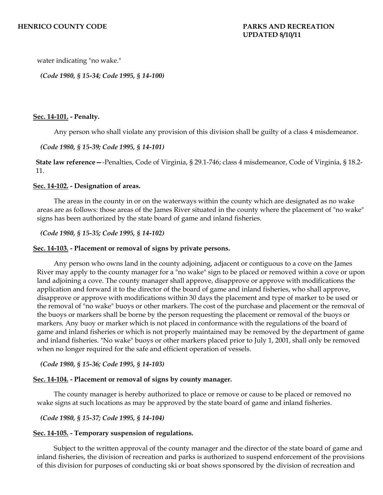water indicating "no wake."

*(Code 1980, § 15-34; Code 1995, § 14-100)* 

#### **Sec. 14-101. - Penalty.**

Any person who shall violate any provision of this division shall be guilty of a class 4 misdemeanor.

#### *(Code 1980, § 15-39; Code 1995, § 14-101)*

**State law reference—**-Penalties, Code of Virginia, § 29.1-746; class 4 misdemeanor, Code of Virginia, § 18.2- 11.

#### **Sec. 14-102. - Designation of areas.**

The areas in the county in or on the waterways within the county which are designated as no wake areas are as follows: those areas of the James River situated in the county where the placement of "no wake" signs has been authorized by the state board of game and inland fisheries.

*(Code 1980, § 15-35; Code 1995, § 14-102)* 

#### **Sec. 14-103. - Placement or removal of signs by private persons.**

Any person who owns land in the county adjoining, adjacent or contiguous to a cove on the James River may apply to the county manager for a "no wake" sign to be placed or removed within a cove or upon land adjoining a cove. The county manager shall approve, disapprove or approve with modifications the application and forward it to the director of the board of game and inland fisheries, who shall approve, disapprove or approve with modifications within 30 days the placement and type of marker to be used or the removal of "no wake" buoys or other markers. The cost of the purchase and placement or the removal of the buoys or markers shall be borne by the person requesting the placement or removal of the buoys or markers. Any buoy or marker which is not placed in conformance with the regulations of the board of game and inland fisheries or which is not properly maintained may be removed by the department of game and inland fisheries. "No wake" buoys or other markers placed prior to July 1, 2001, shall only be removed when no longer required for the safe and efficient operation of vessels.

*(Code 1980, § 15-36; Code 1995, § 14-103)* 

#### **Sec. 14-104. - Placement or removal of signs by county manager.**

The county manager is hereby authorized to place or remove or cause to be placed or removed no wake signs at such locations as may be approved by the state board of game and inland fisheries.

*(Code 1980, § 15-37; Code 1995, § 14-104)* 

#### **Sec. 14-105. - Temporary suspension of regulations.**

Subject to the written approval of the county manager and the director of the state board of game and inland fisheries, the division of recreation and parks is authorized to suspend enforcement of the provisions of this division for purposes of conducting ski or boat shows sponsored by the division of recreation and